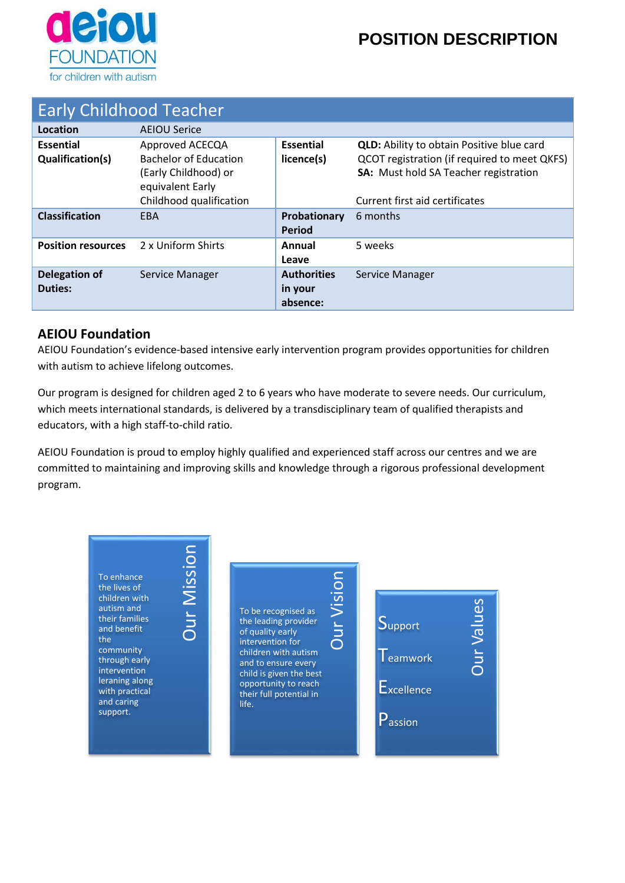

# **POSITION DESCRIPTION**

| <b>Early Childhood Teacher</b> |                              |                    |                                                  |  |  |  |  |
|--------------------------------|------------------------------|--------------------|--------------------------------------------------|--|--|--|--|
|                                |                              |                    |                                                  |  |  |  |  |
| Location                       | <b>AEIOU Serice</b>          |                    |                                                  |  |  |  |  |
| <b>Essential</b>               | Approved ACECQA              | <b>Essential</b>   | <b>QLD:</b> Ability to obtain Positive blue card |  |  |  |  |
| Qualification(s)               | <b>Bachelor of Education</b> | licence(s)         | QCOT registration (if required to meet QKFS)     |  |  |  |  |
|                                | (Early Childhood) or         |                    | <b>SA:</b> Must hold SA Teacher registration     |  |  |  |  |
|                                | equivalent Early             |                    |                                                  |  |  |  |  |
|                                | Childhood qualification      |                    | Current first aid certificates                   |  |  |  |  |
| <b>Classification</b>          | <b>EBA</b>                   | Probationary       | 6 months                                         |  |  |  |  |
|                                |                              | <b>Period</b>      |                                                  |  |  |  |  |
| <b>Position resources</b>      | 2 x Uniform Shirts           | Annual             | 5 weeks                                          |  |  |  |  |
|                                |                              | Leave              |                                                  |  |  |  |  |
| <b>Delegation of</b>           | Service Manager              | <b>Authorities</b> | Service Manager                                  |  |  |  |  |
| <b>Duties:</b>                 |                              | in your            |                                                  |  |  |  |  |
|                                |                              | absence:           |                                                  |  |  |  |  |

### **AEIOU Foundation**

AEIOU Foundation's evidence-based intensive early intervention program provides opportunities for children with autism to achieve lifelong outcomes.

Our program is designed for children aged 2 to 6 years who have moderate to severe needs. Our curriculum, which meets international standards, is delivered by a transdisciplinary team of qualified therapists and educators, with a high staff-to-child ratio.

AEIOU Foundation is proud to employ highly qualified and experienced staff across our centres and we are committed to maintaining and improving skills and knowledge through a rigorous professional development program.

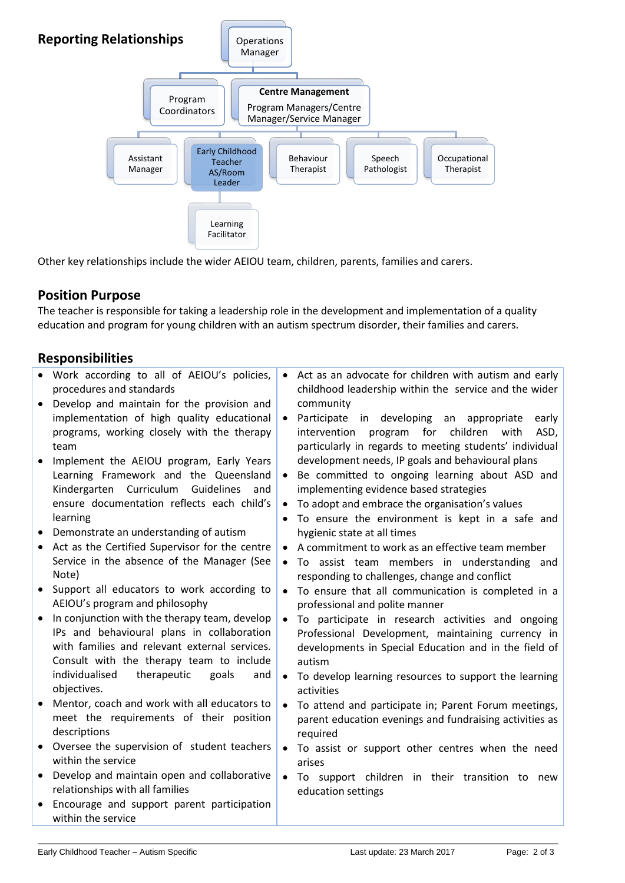

Other key relationships include the wider AEIOU team, children, parents, families and carers.

#### **Position Purpose**

The teacher is responsible for taking a leadership role in the development and implementation of a quality education and program for young children with an autism spectrum disorder, their families and carers.

#### **Responsibilities**

|           | Work according to all of AEIOU's policies,<br>procedures and standards        |           | Act as an advocate for children with autism and early<br>childhood leadership within the service and the wider |
|-----------|-------------------------------------------------------------------------------|-----------|----------------------------------------------------------------------------------------------------------------|
| $\bullet$ | Develop and maintain for the provision and                                    |           | community                                                                                                      |
|           | implementation of high quality educational                                    |           | Participate in developing<br>an<br>appropriate<br>early                                                        |
|           | programs, working closely with the therapy                                    |           | program for<br>children<br>intervention<br>with<br>ASD,                                                        |
|           | team                                                                          |           | particularly in regards to meeting students' individual                                                        |
| $\bullet$ |                                                                               |           | development needs, IP goals and behavioural plans                                                              |
|           | Implement the AEIOU program, Early Years                                      |           |                                                                                                                |
|           | Learning Framework and the Queensland                                         |           | Be committed to ongoing learning about ASD and                                                                 |
|           | Kindergarten Curriculum<br>Guidelines<br>and                                  |           | implementing evidence based strategies                                                                         |
|           | ensure documentation reflects each child's                                    | $\bullet$ | To adopt and embrace the organisation's values                                                                 |
|           | learning                                                                      | $\bullet$ | To ensure the environment is kept in a safe and                                                                |
| $\bullet$ | Demonstrate an understanding of autism                                        |           | hygienic state at all times                                                                                    |
| $\bullet$ | Act as the Certified Supervisor for the centre                                | $\bullet$ | A commitment to work as an effective team member                                                               |
|           | Service in the absence of the Manager (See                                    | $\bullet$ | To assist team members in understanding and                                                                    |
|           | Note)                                                                         |           | responding to challenges, change and conflict                                                                  |
|           | Support all educators to work according to                                    | $\bullet$ | To ensure that all communication is completed in a                                                             |
|           | AEIOU's program and philosophy                                                |           | professional and polite manner                                                                                 |
| $\bullet$ | In conjunction with the therapy team, develop                                 | $\bullet$ | To participate in research activities and ongoing                                                              |
|           | IPs and behavioural plans in collaboration                                    |           | Professional Development, maintaining currency in                                                              |
|           | with families and relevant external services.                                 |           | developments in Special Education and in the field of                                                          |
|           | Consult with the therapy team to include                                      |           | autism                                                                                                         |
|           | individualised<br>therapeutic<br>goals<br>and                                 | $\bullet$ | To develop learning resources to support the learning                                                          |
|           | objectives.                                                                   |           | activities                                                                                                     |
|           | Mentor, coach and work with all educators to                                  | $\bullet$ | To attend and participate in; Parent Forum meetings,                                                           |
|           | meet the requirements of their position                                       |           | parent education evenings and fundraising activities as                                                        |
|           | descriptions                                                                  |           | required                                                                                                       |
|           | Oversee the supervision of student teachers                                   | $\bullet$ | To assist or support other centres when the need                                                               |
|           | within the service                                                            |           | arises                                                                                                         |
| $\bullet$ | Develop and maintain open and collaborative                                   | $\bullet$ | To support children in their transition to new                                                                 |
|           |                                                                               |           |                                                                                                                |
|           |                                                                               |           |                                                                                                                |
|           | relationships with all families<br>Encourage and support parent participation |           | education settings                                                                                             |